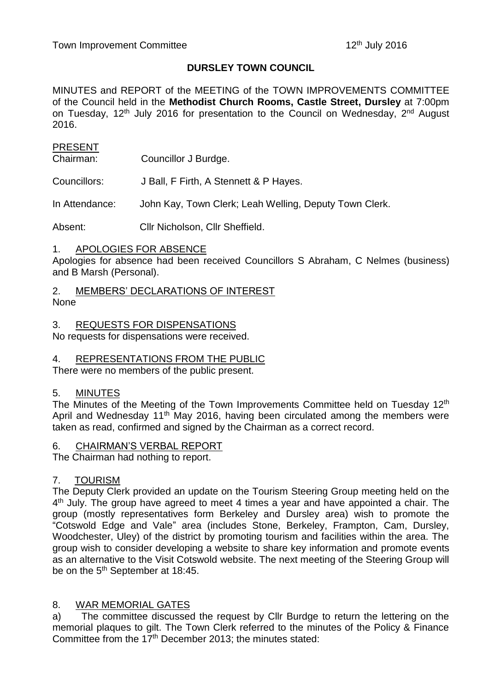# **DURSLEY TOWN COUNCIL**

MINUTES and REPORT of the MEETING of the TOWN IMPROVEMENTS COMMITTEE of the Council held in the **Methodist Church Rooms, Castle Street, Dursley** at 7:00pm on Tuesday, 12<sup>th</sup> July 2016 for presentation to the Council on Wednesday, 2<sup>nd</sup> August 2016.

# **PRESENT**

Chairman: Councillor J Burdge.

Councillors: J Ball, F Firth, A Stennett & P Hayes.

In Attendance: John Kay, Town Clerk; Leah Welling, Deputy Town Clerk.

Absent: Cllr Nicholson, Cllr Sheffield.

### 1. APOLOGIES FOR ABSENCE

Apologies for absence had been received Councillors S Abraham, C Nelmes (business) and B Marsh (Personal).

2. MEMBERS' DECLARATIONS OF INTEREST None

#### 3. REQUESTS FOR DISPENSATIONS

No requests for dispensations were received.

# 4. REPRESENTATIONS FROM THE PUBLIC

There were no members of the public present.

### 5. MINUTES

The Minutes of the Meeting of the Town Improvements Committee held on Tuesday 12<sup>th</sup> April and Wednesday 11<sup>th</sup> May 2016, having been circulated among the members were taken as read, confirmed and signed by the Chairman as a correct record.

### 6. CHAIRMAN'S VERBAL REPORT

The Chairman had nothing to report.

### 7. TOURISM

The Deputy Clerk provided an update on the Tourism Steering Group meeting held on the 4<sup>th</sup> July. The group have agreed to meet 4 times a year and have appointed a chair. The group (mostly representatives form Berkeley and Dursley area) wish to promote the "Cotswold Edge and Vale" area (includes Stone, Berkeley, Frampton, Cam, Dursley, Woodchester, Uley) of the district by promoting tourism and facilities within the area. The group wish to consider developing a website to share key information and promote events as an alternative to the Visit Cotswold website. The next meeting of the Steering Group will be on the 5<sup>th</sup> September at 18:45.

### 8. WAR MEMORIAL GATES

a) The committee discussed the request by Cllr Burdge to return the lettering on the memorial plaques to gilt. The Town Clerk referred to the minutes of the Policy & Finance Committee from the 17<sup>th</sup> December 2013; the minutes stated: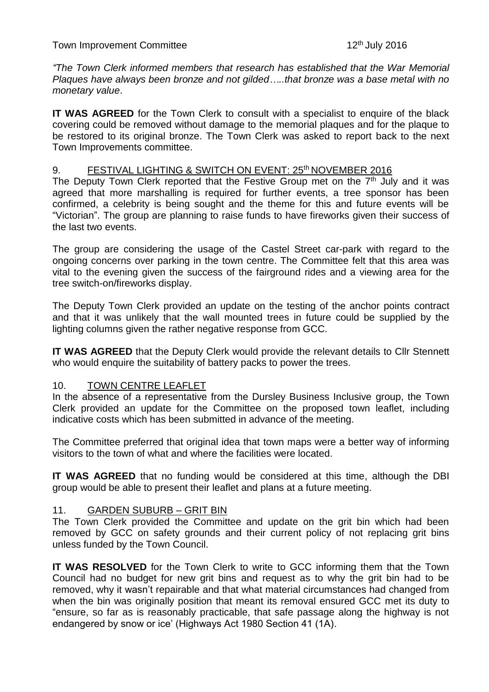Town Improvement Committee

*"The Town Clerk informed members that research has established that the War Memorial Plaques have always been bronze and not gilded…..that bronze was a base metal with no monetary value*.

**IT WAS AGREED** for the Town Clerk to consult with a specialist to enquire of the black covering could be removed without damage to the memorial plaques and for the plaque to be restored to its original bronze. The Town Clerk was asked to report back to the next Town Improvements committee.

### 9. FESTIVAL LIGHTING & SWITCH ON EVENT: 25<sup>th</sup> NOVEMBER 2016

The Deputy Town Clerk reported that the Festive Group met on the  $7<sup>th</sup>$  July and it was agreed that more marshalling is required for further events, a tree sponsor has been confirmed, a celebrity is being sought and the theme for this and future events will be "Victorian". The group are planning to raise funds to have fireworks given their success of the last two events.

The group are considering the usage of the Castel Street car-park with regard to the ongoing concerns over parking in the town centre. The Committee felt that this area was vital to the evening given the success of the fairground rides and a viewing area for the tree switch-on/fireworks display.

The Deputy Town Clerk provided an update on the testing of the anchor points contract and that it was unlikely that the wall mounted trees in future could be supplied by the lighting columns given the rather negative response from GCC.

**IT WAS AGREED** that the Deputy Clerk would provide the relevant details to Cllr Stennett who would enquire the suitability of battery packs to power the trees.

### 10. TOWN CENTRE LEAFLET

In the absence of a representative from the Dursley Business Inclusive group, the Town Clerk provided an update for the Committee on the proposed town leaflet, including indicative costs which has been submitted in advance of the meeting.

The Committee preferred that original idea that town maps were a better way of informing visitors to the town of what and where the facilities were located.

**IT WAS AGREED** that no funding would be considered at this time, although the DBI group would be able to present their leaflet and plans at a future meeting.

### 11. GARDEN SUBURB – GRIT BIN

The Town Clerk provided the Committee and update on the grit bin which had been removed by GCC on safety grounds and their current policy of not replacing grit bins unless funded by the Town Council.

**IT WAS RESOLVED** for the Town Clerk to write to GCC informing them that the Town Council had no budget for new grit bins and request as to why the grit bin had to be removed, why it wasn't repairable and that what material circumstances had changed from when the bin was originally position that meant its removal ensured GCC met its duty to "ensure, so far as is reasonably practicable, that safe passage along the highway is not endangered by snow or ice' (Highways Act 1980 Section 41 (1A).